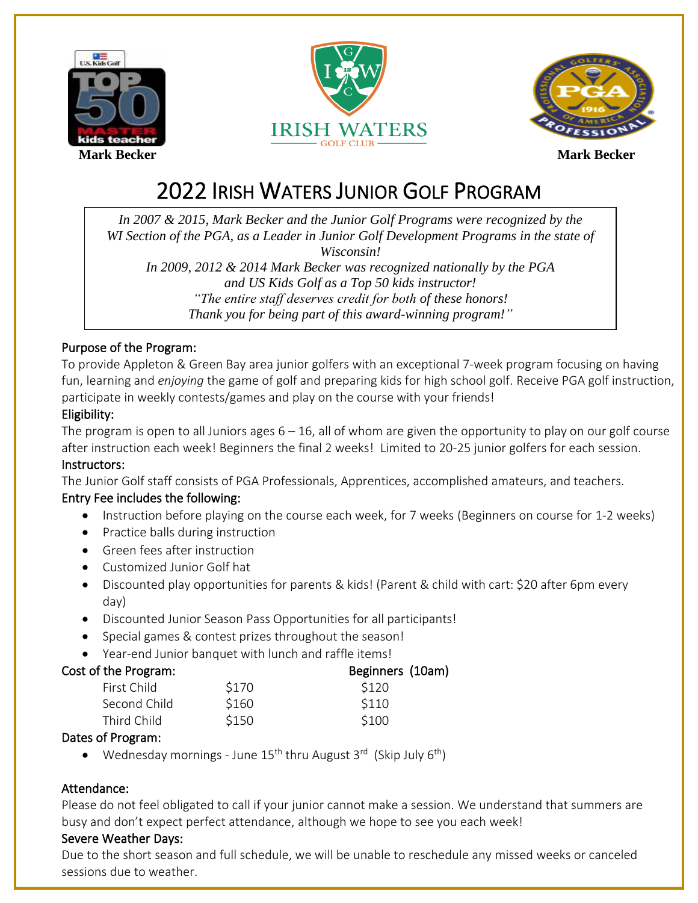





# 2022 IRISH WATERS JUNIOR GOLF PROGRAM

 M *"The entire staff deserves credit for both of these honors! In 2007 & 2015, Mark Becker and the Junior Golf Programs were recognized by the WI Section of the PGA, as a Leader in Junior Golf Development Programs in the state of Wisconsin! In 2009, 2012 & 2014 Mark Becker was recognized nationally by the PGA and US Kids Golf as a Top 50 kids instructor! Thank you for being part of this award-winning program!"*

### Purpose of the Program:

To provide Appleton & Green Bay area junior golfers with an exceptional 7-week program focusing on having fun, learning and *enjoying* the game of golf and preparing kids for high school golf. Receive PGA golf instruction, participate in weekly contests/games and play on the course with your friends!

### Eligibility:

The program is open to all Juniors ages  $6 - 16$ , all of whom are given the opportunity to play on our golf course after instruction each week! Beginners the final 2 weeks! Limited to 20-25 junior golfers for each session. Instructors:

The Junior Golf staff consists of PGA Professionals, Apprentices, accomplished amateurs, and teachers.

### Entry Fee includes the following:

- Instruction before playing on the course each week, for 7 weeks (Beginners on course for 1-2 weeks)
- Practice balls during instruction
- Green fees after instruction
- Customized Junior Golf hat
- Discounted play opportunities for parents & kids! (Parent & child with cart: \$20 after 6pm every day)
- Discounted Junior Season Pass Opportunities for all participants!
- Special games & contest prizes throughout the season!
- Year-end Junior banquet with lunch and raffle items!

### Cost of the Program: Solution Cost of the Program: Beginners (10am)

| First Child  | \$170 | \$120 |  |
|--------------|-------|-------|--|
| Second Child | \$160 | \$110 |  |
| Third Child  | \$150 | \$100 |  |
|              |       |       |  |

### Dates of Program:

• Wednesday mornings - June 15<sup>th</sup> thru August 3<sup>rd</sup> (Skip July 6<sup>th</sup>)

### Attendance:

Please do not feel obligated to call if your junior cannot make a session. We understand that summers are busy and don't expect perfect attendance, although we hope to see you each week!

### Severe Weather Days:

Due to the short season and full schedule, we will be unable to reschedule any missed weeks or canceled sessions due to weather.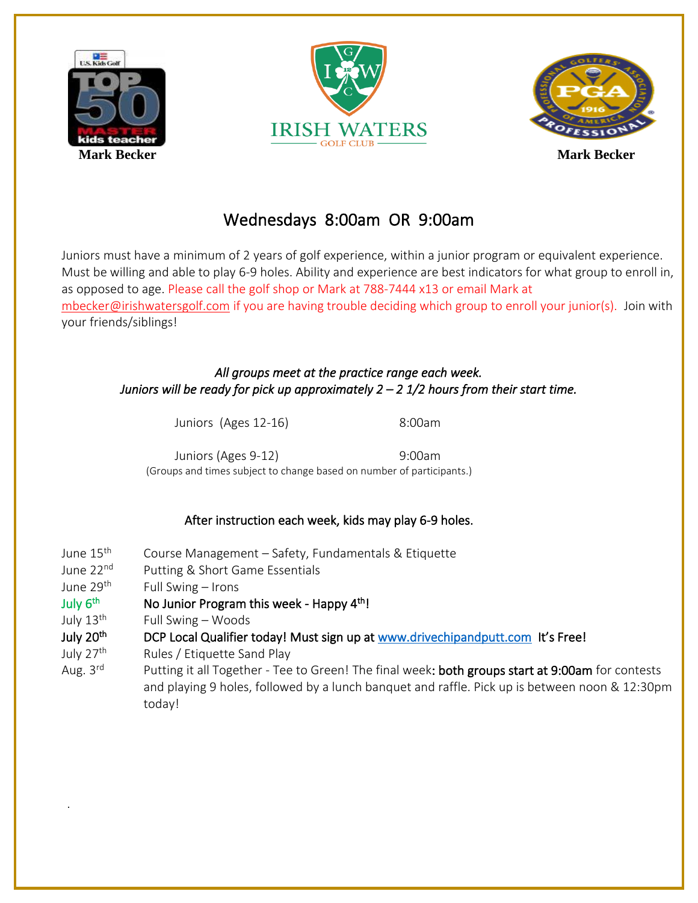

.





## Wednesdays 8:00am OR 9:00am

Juniors must have a minimum of 2 years of golf experience, within a junior program or equivalent experience. Must be willing and able to play 6-9 holes. Ability and experience are best indicators for what group to enroll in, as opposed to age. Please call the golf shop or Mark at 788-7444 x13 or email Mark at [mbecker@irishwatersgolf.com](mailto:mbecker@irishwatersgolf.com) if you are having trouble deciding which group to enroll your junior(s). Join with your friends/siblings!

### *All groups meet at the practice range each week. Juniors will be ready for pick up approximately 2 – 2 1/2 hours from their start time.*

Juniors (Ages 12-16) 8:00am

Juniors (Ages 9-12) 9:00am (Groups and times subject to change based on number of participants.)

### After instruction each week, kids may play 6-9 holes.

June 15<sup>th</sup> Course Management – Safety, Fundamentals & Etiquette June 22<sup>nd</sup> Putting & Short Game Essentials June 29th Full Swing – Irons July 6<sup>th</sup> No Junior Program this week - Happy 4<sup>th</sup>! July 13<sup>th</sup> Full Swing – Woods July 20<sup>th</sup> DCP Local Qualifier today! Must sign up at [www.drivechipandputt.com](http://www.drivechipandputt.com/) It's Free! July 27<sup>th</sup> Rules / Etiquette Sand Play Aug.  $3^{\text{rd}}$ Putting it all Together - Tee to Green! The final week: both groups start at 9:00am for contests and playing 9 holes, followed by a lunch banquet and raffle. Pick up is between noon & 12:30pm today!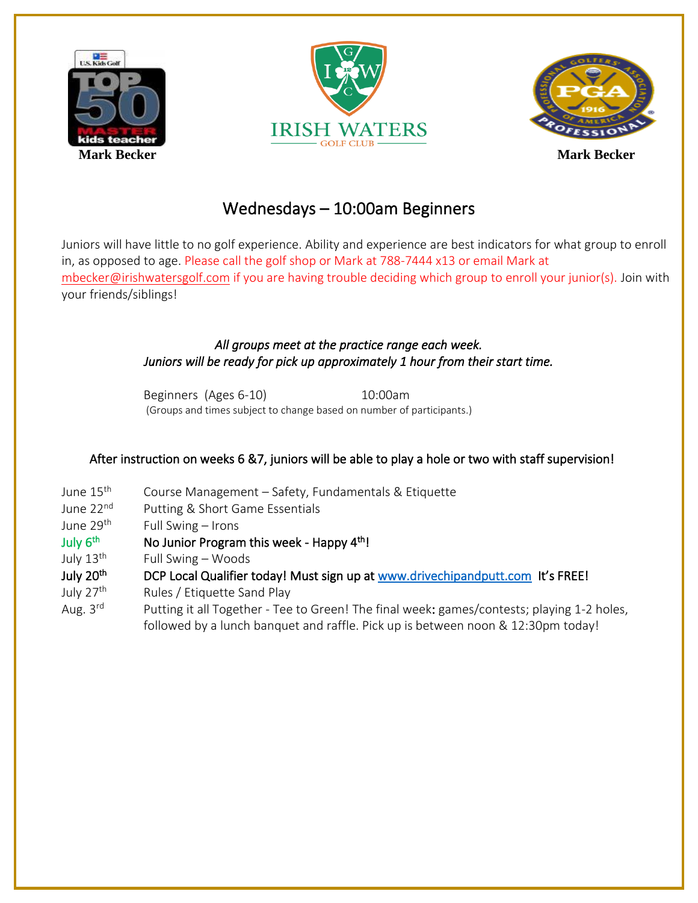





### Wednesdays – 10:00am Beginners

Juniors will have little to no golf experience. Ability and experience are best indicators for what group to enroll in, as opposed to age. Please call the golf shop or Mark at 788-7444 x13 or email Mark at [mbecker@irishwatersgolf.com](mailto:mbecker@irishwatersgolf.com) if you are having trouble deciding which group to enroll your junior(s). Join with your friends/siblings!

### *All groups meet at the practice range each week. Juniors will be ready for pick up approximately 1 hour from their start time.*

Beginners (Ages 6-10) 10:00am (Groups and times subject to change based on number of participants.)

### After instruction on weeks 6 &7, juniors will be able to play a hole or two with staff supervision!

- June 15<sup>th</sup> Course Management – Safety, Fundamentals & Etiquette
- June 22<sup>nd</sup> Putting & Short Game Essentials
- June 29<sup>th</sup> Full Swing – Irons
- July 6<sup>th</sup> No Junior Program this week - Happy 4<sup>th</sup>!
- July 13<sup>th</sup> Full Swing – Woods
- July 20<sup>th</sup> DCP Local Qualifier today! Must sign up at [www.drivechipandputt.com](http://www.drivechipandputt.com/) It's FREE!
- July 27<sup>th</sup> Rules / Etiquette Sand Play
- Aug. 3rd Putting it all Together - Tee to Green! The final week: games/contests; playing 1-2 holes, followed by a lunch banquet and raffle. Pick up is between noon & 12:30pm today!